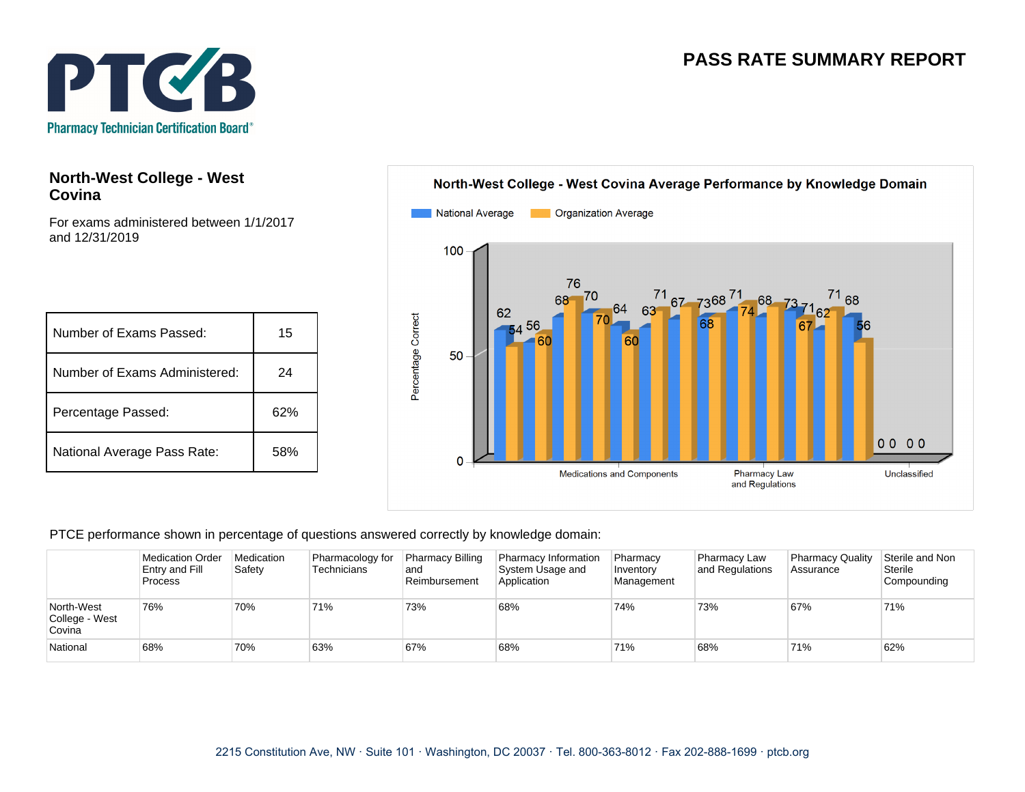## **PASS RATE SUMMARY REPORT**



## **North-West College - West Covina**

For exams administered between 1/1/2017 and 12/31/2019

| Number of Exams Passed:       | 15  |
|-------------------------------|-----|
| Number of Exams Administered: | 24  |
| Percentage Passed:            | 62% |
| National Average Pass Rate:   | 58% |



PTCE performance shown in percentage of questions answered correctly by knowledge domain:

|                                        | <b>Medication Order</b><br>Entry and Fill<br><b>Process</b> | Medication<br>Safety | Pharmacology for<br>Technicians | <b>Pharmacy Billing</b><br>land<br>Reimbursement | Pharmacy Information<br>System Usage and<br>Application | Pharmacy<br>Inventory<br>Management | <b>Pharmacy Law</b><br>and Regulations | <b>Pharmacy Quality</b><br>Assurance | Sterile and Non<br>Sterile<br>Compounding |
|----------------------------------------|-------------------------------------------------------------|----------------------|---------------------------------|--------------------------------------------------|---------------------------------------------------------|-------------------------------------|----------------------------------------|--------------------------------------|-------------------------------------------|
| North-West<br>College - West<br>Covina | 76%                                                         | 70%                  | 71%                             | 73%                                              | 68%                                                     | 74%                                 | 73%                                    | 67%                                  | 71%                                       |
| National                               | 68%                                                         | 70%                  | 63%                             | 67%                                              | 68%                                                     | 71%                                 | 68%                                    | 71%                                  | 62%                                       |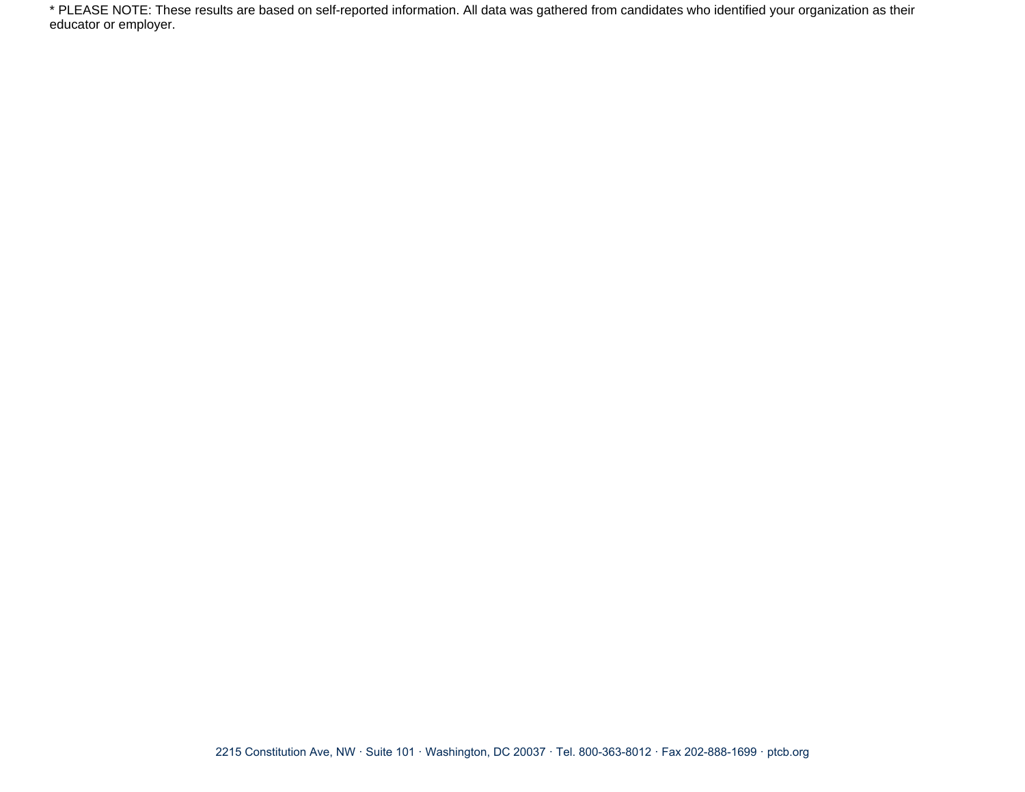\* PLEASE NOTE: These results are based on self-reported information. All data was gathered from candidates who identified your organization as their educator or employer.